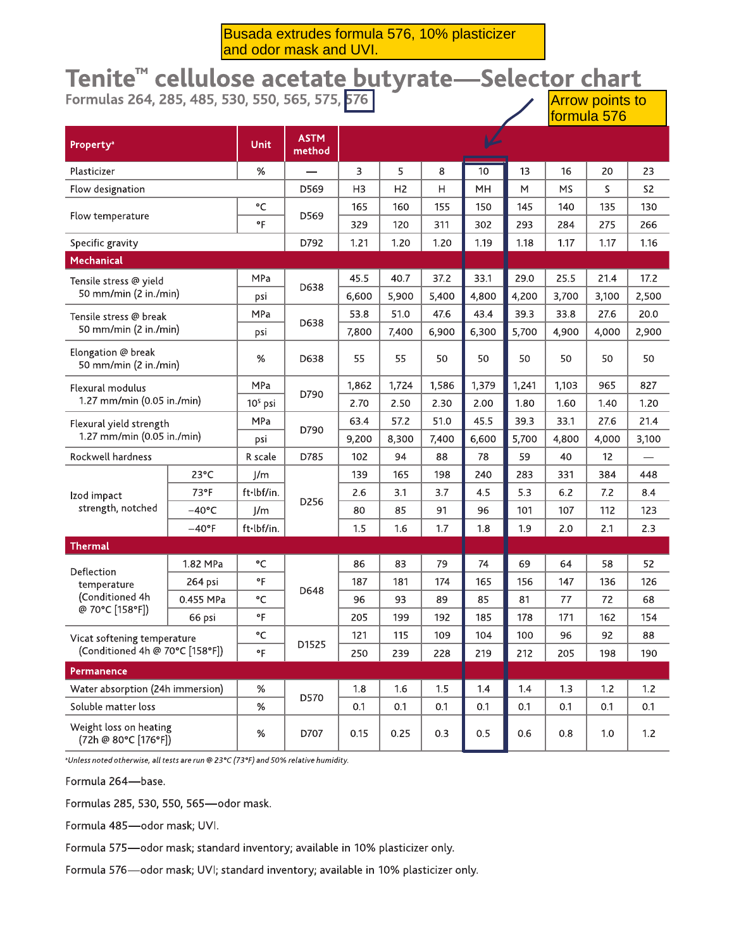Busada extrudes formula 576, 10% plasticizer and odor mask and UVI.

# Tenite<sup>™</sup> cellulose acetate butyrate—Selector chart<br>Formulas 264, 285, 485, 530, 550, 565, 575, 576

| Property <sup>a</sup>                                 |                 | Unit       | <b>ASTM</b><br>method |                |                |       |       |       |           |       |                |
|-------------------------------------------------------|-----------------|------------|-----------------------|----------------|----------------|-------|-------|-------|-----------|-------|----------------|
| Plasticizer                                           |                 | %          |                       | 3              | 5              | 8     | 10    | 13    | 16        | 20    | 23             |
| Flow designation                                      |                 |            | D569                  | H <sub>3</sub> | H <sub>2</sub> | Η     | MH    | M     | <b>MS</b> | S     | S <sub>2</sub> |
|                                                       |                 | °C         | D569                  | 165            | 160            | 155   | 150   | 145   | 140       | 135   | 130            |
| Flow temperature                                      |                 | °F         |                       | 329            | 120            | 311   | 302   | 293   | 284       | 275   | 266            |
| Specific gravity                                      |                 |            | D792                  | 1.21           | 1.20           | 1.20  | 1.19  | 1.18  | 1.17      | 1.17  | 1.16           |
| Mechanical                                            |                 |            |                       |                |                |       |       |       |           |       |                |
| Tensile stress @ yield                                |                 | MPa        | D638                  | 45.5           | 40.7           | 37.2  | 33.1  | 29.0  | 25.5      | 21.4  | 17.2           |
| 50 mm/min (2 in./min)                                 |                 | psi        |                       | 6,600          | 5,900          | 5,400 | 4,800 | 4,200 | 3,700     | 3,100 | 2,500          |
| Tensile stress @ break                                |                 | MPa        | D638                  | 53.8           | 51.0           | 47.6  | 43.4  | 39.3  | 33.8      | 27.6  | 20.0           |
| 50 mm/min (2 in./min)                                 |                 | psi        |                       | 7,800          | 7,400          | 6,900 | 6,300 | 5,700 | 4,900     | 4,000 | 2,900          |
| Elongation @ break<br>50 mm/min (2 in./min)           |                 | %          | D638                  | 55             | 55             | 50    | 50    | 50    | 50        | 50    | 50             |
| Flexural modulus<br>1.27 mm/min (0.05 in./min)        |                 | MPa        | D790                  | 1,862          | 1,724          | 1,586 | 1,379 | 1,241 | 1,103     | 965   | 827            |
|                                                       |                 | $105$ psi  |                       | 2.70           | 2.50           | 2.30  | 2.00  | 1.80  | 1.60      | 1.40  | 1.20           |
| Flexural yield strength<br>1.27 mm/min (0.05 in./min) |                 | <b>MPa</b> | D790                  | 63.4           | 57.2           | 51.0  | 45.5  | 39.3  | 33.1      | 27.6  | 21.4           |
|                                                       |                 | psi        |                       | 9,200          | 8,300          | 7,400 | 6,600 | 5,700 | 4,800     | 4,000 | 3,100          |
| Rockwell hardness                                     |                 | R scale    | D785                  | 102            | 94             | 88    | 78    | 59    | 40        | 12    |                |
|                                                       | $23^{\circ}$ C  | 1/m        |                       | 139            | 165            | 198   | 240   | 283   | 331       | 384   | 448            |
| Izod impact                                           | 73°F            | ft·lbf/in. |                       | 2.6            | 3.1            | 3.7   | 4.5   | 5.3   | 6.2       | 7.2   | 8.4            |
| strength, notched                                     | –40°C           | J/m        | D256                  | 80             | 85             | 91    | 96    | 101   | 107       | 112   | 123            |
|                                                       | $-40^{\circ}$ F | ft.lbf/in. |                       | 1.5            | 1.6            | 1.7   | 1.8   | 1.9   | 2.0       | 2.1   | 2.3            |
| <b>Thermal</b>                                        |                 |            |                       |                |                |       |       |       |           |       |                |
| Deflection                                            | 1.82 MPa        | °C         |                       | 86             | 83             | 79    | 74    | 69    | 64        | 58    | 52             |
| temperature                                           | 264 psi         | $\circ$ F  | D648                  | 187            | 181            | 174   | 165   | 156   | 147       | 136   | 126            |
| (Conditioned 4h<br>@ 70°C [158°F])                    | 0.455 MPa       | °C         |                       | 96             | 93             | 89    | 85    | 81    | 77        | 72    | 68             |
|                                                       | 66 psi          | $\circ$ F  |                       | 205            | 199            | 192   | 185   | 178   | 171       | 162   | 154            |
| Vicat softening temperature                           |                 | °C         | D1525                 | 121            | 115            | 109   | 104   | 100   | 96        | 92    | 88             |
| (Conditioned 4h @ 70°C [158°F])                       |                 | °F         |                       | 250            | 239            | 228   | 219   | 212   | 205       | 198   | 190            |
| Permanence                                            |                 |            |                       |                |                |       |       |       |           |       |                |
| Water absorption (24h immersion)                      |                 | %          | D570                  | 1.8            | 1.6            | 1.5   | 1.4   | 1.4   | 1.3       | 1.2   | 1.2            |
| Soluble matter loss                                   |                 | $\%$       |                       | 0.1            | 0.1            | 0.1   | 0.1   | 0.1   | 0.1       | 0.1   | 0.1            |
| Weight loss on heating<br>(72h @ 80°C [176°F])        |                 | %          | D707                  | 0.15           | 0.25           | 0.3   | 0.5   | 0.6   | 0.8       | 1.0   | 1.2            |

<sup>a</sup>Unless noted otherwise, all tests are run @ 23°C (73°F) and 50% relative humidity.

Formula 264-base.

Formulas 285, 530, 550, 565-odor mask.

Formula 485-odor mask; UVI.

Formula 575-odor mask; standard inventory; available in 10% plasticizer only.

Formula 576-odor mask; UVI; standard inventory; available in 10% plasticizer only.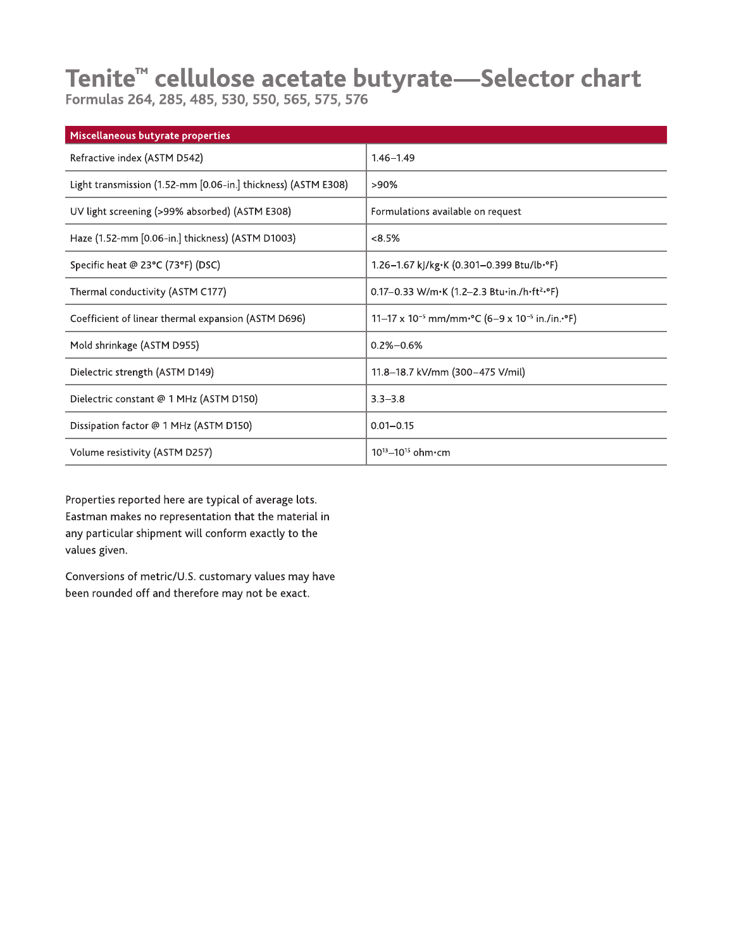# Tenite<sup>™</sup> cellulose acetate butyrate—Selector chart<br>Formulas 264, 285, 485, 530, 550, 565, 575, 576

| Miscellaneous butyrate properties                             |                                                                                                |
|---------------------------------------------------------------|------------------------------------------------------------------------------------------------|
| Refractive index (ASTM D542)                                  | $1.46 - 1.49$                                                                                  |
| Light transmission (1.52-mm [0.06-in.] thickness) (ASTM E308) | >90%                                                                                           |
| UV light screening (>99% absorbed) (ASTM E308)                | Formulations available on request                                                              |
| Haze (1.52-mm [0.06-in.] thickness) (ASTM D1003)              | $<8.5\%$                                                                                       |
| Specific heat @ 23°C (73°F) (DSC)                             | 1.26-1.67 kJ/kg·K (0.301-0.399 Btu/lb·°F)                                                      |
| Thermal conductivity (ASTM C177)                              | 0.17-0.33 W/m•K (1.2-2.3 Btu•in./h•ft2•°F)                                                     |
| Coefficient of linear thermal expansion (ASTM D696)           | 11–17 x 10 <sup>-5</sup> mm/mm <sup>-o</sup> C (6–9 x 10 <sup>-5</sup> in./in. <sup>o</sup> F) |
| Mold shrinkage (ASTM D955)                                    | $0.2\% - 0.6\%$                                                                                |
| Dielectric strength (ASTM D149)                               | 11.8-18.7 kV/mm (300-475 V/mil)                                                                |
| Dielectric constant @ 1 MHz (ASTM D150)                       | $3.3 - 3.8$                                                                                    |
| Dissipation factor @ 1 MHz (ASTM D150)                        | $0.01 - 0.15$                                                                                  |
| Volume resistivity (ASTM D257)                                | $10^{13} - 10^{15}$ ohm $\cdot$ cm                                                             |

Properties reported here are typical of average lots. Eastman makes no representation that the material in any particular shipment will conform exactly to the values given.

Conversions of metric/U.S. customary values may have been rounded off and therefore may not be exact.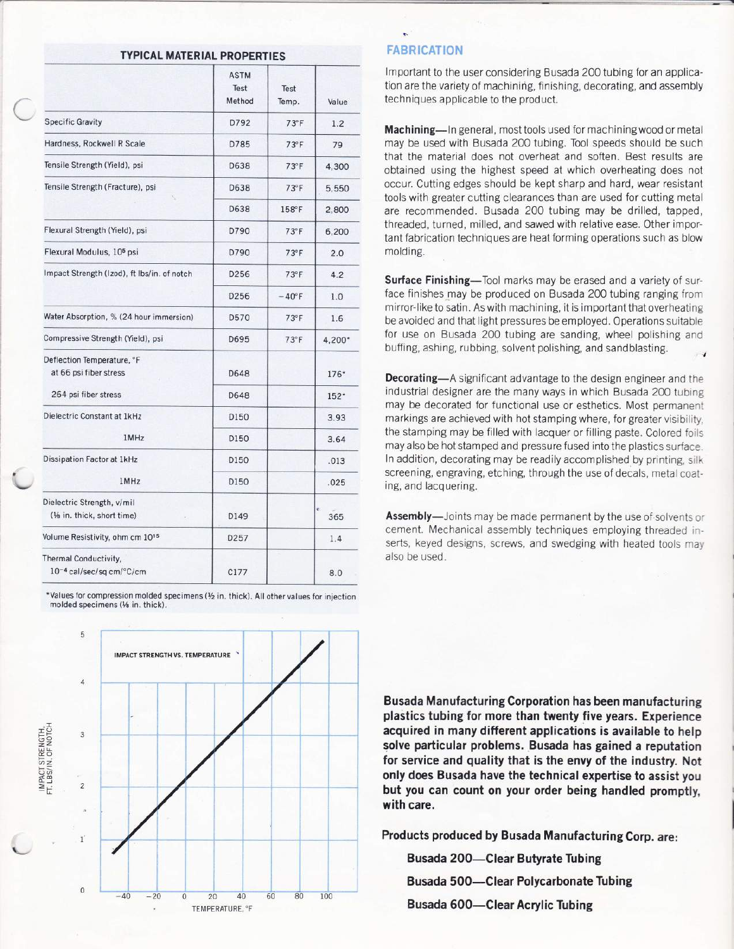| TYPICAL MATERIAL PROPERTIES |  |
|-----------------------------|--|
|-----------------------------|--|

|                                                               | <b>ASTM</b><br>Test<br>Method | Test<br>Temp.  | Value    |
|---------------------------------------------------------------|-------------------------------|----------------|----------|
| <b>Specific Gravity</b>                                       | D792                          | $73^{\circ}$ F | 1.2      |
| Hardness, Rockwell R Scale                                    | D785                          | $73^\circ F$   | 79       |
| Tensile Strength (Yield), psi                                 | D638                          | $73^{\circ}$ F | 4,300    |
| Tensile Strength (Fracture), psi                              | D638                          | $73^\circ F$   | 5,550    |
|                                                               | D638                          | 158°F          | 2,800    |
| Flexural Strength (Yield), psi                                | D790                          | $73^{\circ}$ F | 6,200    |
| Flexural Modulus, 10 <sup>5</sup> psi                         | D790                          | $73^\circ F$   | 2.0      |
| Impact Strength (Izod), ft Ibs/in. of notch                   | D <sub>256</sub>              | $73^\circ F$   | 4.2      |
|                                                               | D256                          | $-40^\circ$ F  | 1.0      |
| Water Absorption, % (24 hour immersion)                       | D570                          | $73^\circ F$   | 1.6      |
| Compressive Strength (Yield), psi                             | D695                          | $73^\circ F$   | 4,200*   |
| Deflection Temperature, °F<br>at 66 psi fiber stress          | D648                          |                | $176*$   |
| 264 psi fiber stress                                          | D648                          |                | $152*$   |
| Dielectric Constant at 1kHz                                   | D150                          |                | 3.93     |
| 1MHz                                                          | D150                          |                | 3.64     |
| Dissipation Factor at 1kHz                                    | D150                          |                | .013     |
| 1MHz                                                          | D150                          |                | .025     |
| Dielectric Strength, v/mil<br>(1/8 in. thick, short time)     | D149                          |                | ¢<br>365 |
| Volume Resistivity, ohm cm 10 <sup>15</sup>                   | D257                          |                | 1.4      |
| Thermal Conductivity,<br>10 <sup>-4</sup> cal/sec/sq cm/°C/cm | C177                          |                | 8.0      |

\*Values for compression molded specimens (Yz in. thick). All other values for injection molded specimens (Ya in. thick).

,

t



#### **FABRICATION**

lmportant to the user considering Busada 200 tubing for an application are the variety of machining, finishing, decorating, and assembly techniques applicable to the product.

;-

Machining-ln general, most tools used for machining wood or metal may be used with Busada 200 tubing. Tool speeds should be such that the material does not overheat and soften. Best results are obtained using the highest speed at which overheating does not occur. Cutting edges should be kept sharp and hard, wear resistant tools with greater cutting clearances than are used for cutting metal are recommended. Busada 200 tubing may be drilled, tapped, threaded, turned, milled, and sawed with relative ease. Other important fabrication techniques are heat forming operations such as blow molding.

Surface Finishing-Tool marks may be erased and a variety of surface finishes may be produced on Busada 200 tubing ranging from mirror-like to satin. As with machining, it is important that overheating be avoided and that light pressures be employed. Operations suitable for use on Busada 200 tubing are sanding, wheel polishing and buffing, ashing, rubbing, solvent polishing, and sandblasting.

Decorating-A significant advantage to the design engineer and the industrial designer are the many ways in which Busada 200 tubing may be decorated for functional use or esthetics. Most permanent markings are achieved with hot stamping where, for greater visibility. the stamping may be filled with lacquer or filling paste. Colored foils may also be hot stamped and pressure fused into the plastics surface. In addition, decorating may be readily accomplished by printing, silk screening, engraving, etching, through the use of decals, metal coating, and lacquering.

Assembly-Joints may be made permanent by the use of solvents or cement. Mechanical assembly techniques employing threaded inserts, keyed designs, screws, and swedging with heated tools may also be used.

Busada Manufacturing Corporation has been manufacturing plastics tubing for more than twenty five years. Experience acquired in many different applications is available to help solve particular problems. Busada has gained a reputation for service and quality that is the envy of the industry. Not only does Busada have the technical expertise to assist you but you can count on your order being handled promptly, with care.

Products produced by Busada Manufacturing Corp. are:

Busada 200-Clear Butyrate Tubing Busada 500-Clear Polycarbonate Tubing Busada 600-Clear Acrylic Tubing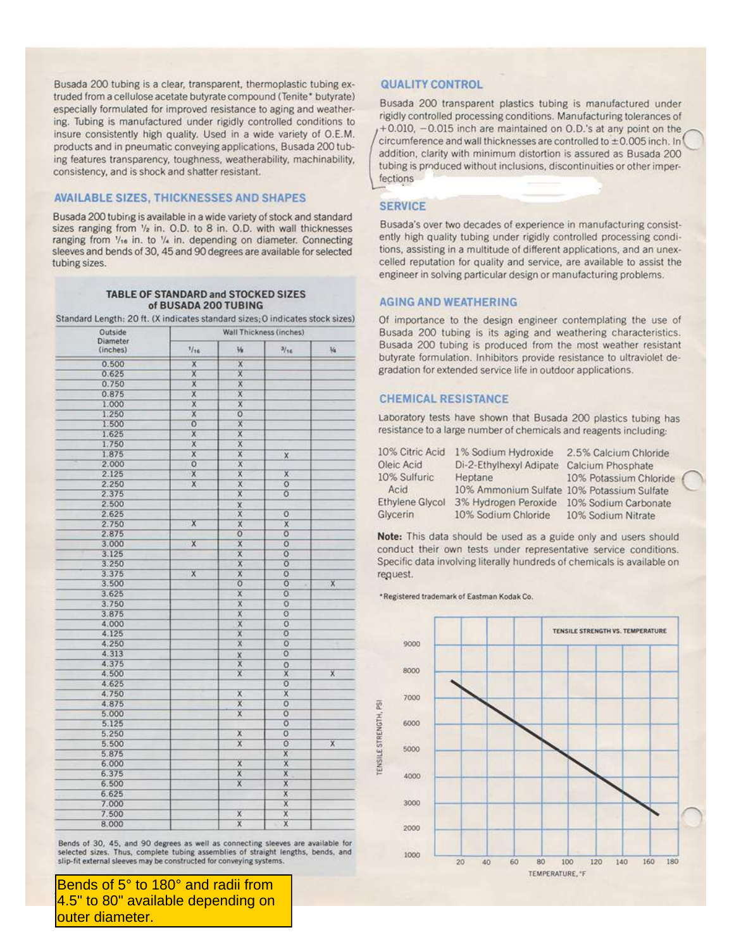Busada 200 tubing is a clear, transparent, thermoplastic tubing extruded from a cellulose acetate butyrate compound (Tenite\* butyrate) especially formulated for improved resistance to aging and weathering. Tubing is manufactured under rigidly controlled conditions to insure consistently high quality. Used in a wide variety of O.E.M. products and in pneumatic conveying applications, Busada 200 tubing features transparency, toughness, weatherability, machinability, consistency, and is shock and shatter resistant.

#### **AVAILABLE SIZES, THICKNESSES AND SHAPES**

Busada 200 tubing is available in a wide variety of stock and standard sizes ranging from 1/2 in. O.D. to 8 in. O.D. with wall thicknesses ranging from 1/16 in. to 1/4 in. depending on diameter. Connecting sleeves and bends of 30, 45 and 90 degrees are available for selected tubing sizes.

#### TABLE OF STANDARD and STOCKED SIZES of BUSADA 200 TUBING

Standard Length: 20 ft. (X indicates standard sizes; O indicates stock sizes)

| Outside              |                         | Wall Thickness (inches) |                         |                         |
|----------------------|-------------------------|-------------------------|-------------------------|-------------------------|
| Diameter<br>(inches) | 1/16                    | $V_{\rm B}$             | 3/16                    | $\frac{1}{2}$           |
| 0.500                | $\overline{\mathsf{x}}$ | $\overline{\mathsf{x}}$ |                         |                         |
| 0.625                | $\overline{x}$          | $\mathsf{x}$            |                         |                         |
| 0.750                | $\overline{x}$          | $\overline{\mathsf{x}}$ |                         |                         |
| 0.875                | $\overline{x}$          | $\overline{\mathsf{x}}$ |                         |                         |
| 1.000                | X                       | $\overline{\mathsf{x}}$ |                         |                         |
| 1.250                | $\overline{\mathsf{x}}$ | $\overline{O}$          |                         |                         |
| 1.500                | $\overline{0}$          | $\chi$                  |                         |                         |
| 1.625                | $\overline{\mathsf{x}}$ | X                       |                         |                         |
| 1.750                | $\mathsf X$             | X                       |                         |                         |
| 1.875                | $\overline{\mathsf{x}}$ | $\overline{\mathsf{x}}$ | $\mathsf X$             |                         |
| 2.000                | $\overline{0}$          | $\mathsf X$             |                         |                         |
| 2.125                | $\overline{\mathsf{x}}$ | X                       | $\overline{\mathsf{x}}$ |                         |
| 2.250                | $\overline{\mathsf{x}}$ | $\overline{\mathsf{x}}$ | $\overline{0}$          |                         |
| 2.375                |                         | $\overline{x}$          | $\overline{0}$          |                         |
| 2.500                |                         | $\overline{\mathbf{x}}$ |                         |                         |
| 2.625                |                         | $\overline{\mathsf{x}}$ | $\overline{0}$          |                         |
| 2.750                | $\overline{\mathsf{x}}$ | $\overline{\mathsf{x}}$ | $\overline{\mathsf{X}}$ |                         |
| 2.875                |                         | $\overline{0}$          | $\overline{o}$          |                         |
| 3.000                | $\overline{\mathsf{x}}$ | $\overline{\mathsf{x}}$ | $\overline{0}$          |                         |
|                      |                         |                         | $\overline{0}$          |                         |
| 3.125                |                         | $\overline{x}$          |                         |                         |
| 3.250                |                         | $\overline{\mathsf{x}}$ | $\overline{0}$          |                         |
| 3.375                | $\overline{\mathsf{x}}$ | $\overline{\mathsf{x}}$ | $\overline{0}$          |                         |
| 3.500                |                         | $\overline{0}$          | $\overline{0}$<br>×     | $\overline{\mathsf{x}}$ |
| 3.625                |                         | $\mathsf X$             | $\overline{0}$          |                         |
| 3.750                |                         | $\overline{\mathbf{x}}$ | $\overline{0}$          |                         |
| 3.875                |                         | $\overline{\mathsf{x}}$ | $\overline{O}$          |                         |
| 4.000                |                         | $\overline{\mathsf{x}}$ | $\overline{0}$          |                         |
| 4.125                |                         | $\mathsf X$             | $\overline{O}$          |                         |
| 4.250                |                         | $\overline{x}$          | $\overline{0}$          |                         |
| 4.313                |                         | X                       | $\overline{O}$          |                         |
| 4.375                |                         | $\overline{\mathsf{x}}$ | $\circ$                 |                         |
| 4.500                |                         | $\overline{\mathsf{x}}$ | x                       | $\overline{x}$          |
| 4.625                |                         |                         | $\overline{0}$          |                         |
| 4.750                |                         | $\overline{\mathsf{x}}$ | X                       |                         |
| 4.875                |                         | $\overline{\mathsf{x}}$ | $\overline{0}$          |                         |
| 5.000                |                         | $\overline{\mathsf{x}}$ | $\overline{0}$          |                         |
| 5.125                |                         |                         | $\overline{O}$          |                         |
| 5.250                |                         | $\overline{\mathsf{x}}$ | $\overline{0}$          |                         |
| 5.500                |                         | $\overline{\mathsf{x}}$ | $\overline{0}$          | $\overline{\mathsf{x}}$ |
| 5.875                |                         |                         | $\overline{\mathsf{x}}$ |                         |
| 6.000                |                         | $\overline{\mathsf{x}}$ | $\overline{\mathsf{x}}$ |                         |
| 6.375                |                         | $\overline{x}$          | $\overline{\mathsf{x}}$ |                         |
| 6.500                |                         | $\overline{X}$          | $\overline{\mathsf{x}}$ |                         |
| 6.625                |                         |                         | $\mathsf{X}$            |                         |
| 7.000                |                         |                         | $\overline{x}$          |                         |
| 7.500                |                         | $\overline{\mathbf{x}}$ | $\overline{\mathsf{x}}$ |                         |
| 8.000                |                         | $\overline{\mathsf{x}}$ | $\overline{\mathsf{x}}$ |                         |
|                      |                         |                         |                         |                         |

Bends of 30, 45, and 90 degrees as well as connecting sleeves are available for selected sizes. Thus, complete tubing assemblies of straight lengths, bends, and slip-fit external sleeves may be constructed for conveying systems.

Bends of 5° to 180° and radii from 4.5" to 80" available depending on outer diameter.

#### **QUALITY CONTROL**

Busada 200 transparent plastics tubing is manufactured under rigidly controlled processing conditions. Manufacturing tolerances of +0.010, -0.015 inch are maintained on 0.D.'s at any point on the circumference and wall thicknesses are controlled to  $\pm 0.005$  inch. In addition, clarity with minimum distortion is assured as Busada 200 tubing is produced without inclusions, discontinuities or other imperfections

#### **SERVICE**

Busada's over two decades of experience in manufacturing consistently high quality tubing under rigidly controlled processing conditions, assisting in a multitude of different applications, and an unexcelled reputation for quality and service, are available to assist the engineer in solving particular design or manufacturing problems.

#### **AGING AND WEATHERING**

Of importance to the design engineer contemplating the use of Busada 200 tubing is its aging and weathering characteristics. Busada 200 tubing is produced from the most weather resistant butyrate formulation. Inhibitors provide resistance to ultraviolet degradation for extended service life in outdoor applications.

#### **CHEMICAL RESISTANCE**

Laboratory tests have shown that Busada 200 plastics tubing has resistance to a large number of chemicals and reagents including:

| 10% Citric Acid        | 1% Sodium Hydroxide                        | 2.5% Calcium Chloride  |  |
|------------------------|--------------------------------------------|------------------------|--|
| Oleic Acid             | Di-2-Ethylhexyl Adipate                    | Calcium Phosphate      |  |
| 10% Sulfuric           | Heptane                                    | 10% Potassium Chloride |  |
| Acid                   | 10% Ammonium Sulfate 10% Potassium Sulfate |                        |  |
| <b>Ethylene Glycol</b> | 3% Hydrogen Peroxide 10% Sodium Carbonate  |                        |  |
| Glycerin               | 10% Sodium Chloride                        | 10% Sodium Nitrate     |  |

Note: This data should be used as a guide only and users should conduct their own tests under representative service conditions. Specific data involving literally hundreds of chemicals is available on request.

\*Registered trademark of Eastman Kodak Co.

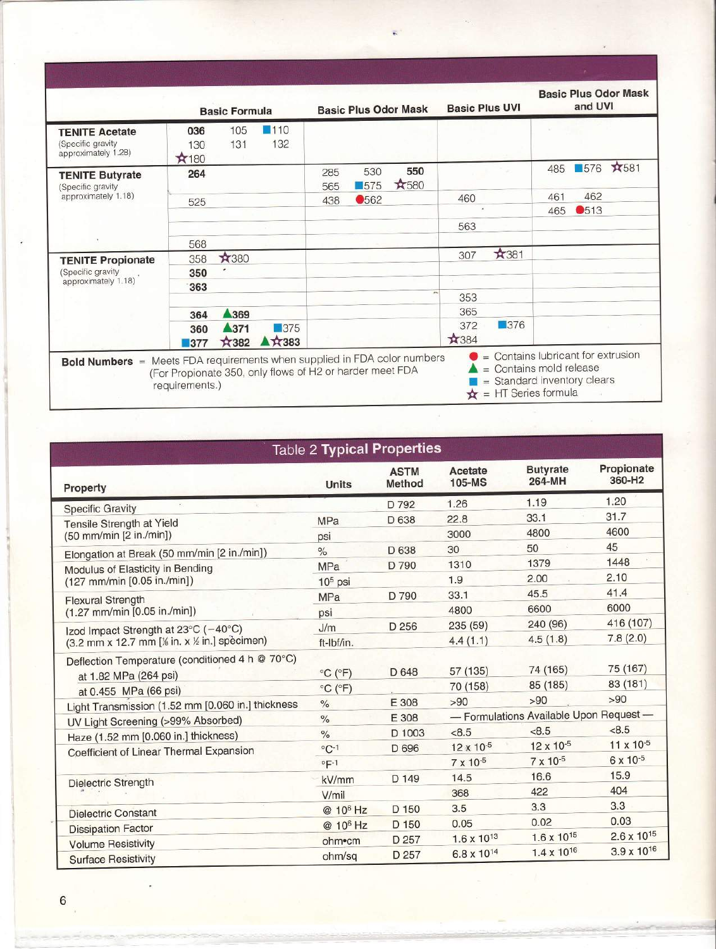| <b>TENITE Acetate</b><br>(Specific gravity   | 036         |                     |                    |            |                           |             |             |            |     |      |              |
|----------------------------------------------|-------------|---------------------|--------------------|------------|---------------------------|-------------|-------------|------------|-----|------|--------------|
| approximately 1.28)                          | 130<br>*180 | 105<br>131          | 110<br>132         |            |                           |             |             |            |     |      |              |
| <b>TENITE Butyrate</b><br>(Specific gravity) | 264         |                     |                    | 285<br>565 | 530<br>$\blacksquare$ 575 | 550<br>*580 |             |            | 485 | 576  | <b>A</b> 581 |
| approximately 1.18)                          | 525         |                     |                    | 438        | <b>0562</b>               |             | 460         |            | 461 | 462  |              |
|                                              |             |                     |                    |            |                           |             | $\lambda$   |            | 465 | ●513 |              |
|                                              |             |                     |                    |            |                           |             | 563         |            |     |      |              |
|                                              | 568         |                     |                    |            |                           |             |             |            |     |      |              |
| <b>TENITE Propionate</b>                     | 358         | ★380                |                    |            |                           |             | 307         | *381       |     |      |              |
| (Specific gravity)                           | 350         |                     |                    |            |                           |             |             |            |     |      |              |
| approximately 1.18)                          | 363         |                     |                    |            |                           |             |             |            |     |      |              |
|                                              |             |                     |                    |            |                           |             | 353         |            |     |      |              |
|                                              | 364         | ▲369                |                    |            |                           |             | 365         |            |     |      |              |
|                                              | 360<br>377  | ▲371<br><b>X382</b> | $\Box$ 375<br>₩383 |            |                           |             | 372<br>*384 | $\Box$ 376 |     |      |              |

| <b>Table 2 Typical Properties</b>                                        |                              |                       |                        |                                        |                      |
|--------------------------------------------------------------------------|------------------------------|-----------------------|------------------------|----------------------------------------|----------------------|
| Property                                                                 | <b>Units</b>                 | <b>ASTM</b><br>Method | Acetate<br>105-MS      | <b>Butyrate</b><br>264-MH              | Propionate<br>360-H2 |
| <b>Specific Gravity</b>                                                  |                              | D 792                 | 1.26                   | 1.19                                   | 1.20                 |
| Tensile Strength at Yield                                                | <b>MPa</b>                   | D 638                 | 22.8                   | 33.1                                   | 31.7                 |
| (50 mm/min [2 in./min])                                                  | psi                          |                       | 3000                   | 4800                                   | 4600                 |
| Elongation at Break (50 mm/min [2 in./min])                              | $\frac{1}{2}$                | D 638                 | 30                     | 50                                     | 45                   |
| Modulus of Elasticity in Bending                                         | <b>MPa</b>                   | D 790                 | 1310                   | 1379                                   | 1448                 |
| (127 mm/min [0.05 in./min])                                              | $105$ psi                    |                       | 1.9                    | 2.00                                   | 2.10                 |
| <b>Flexural Strength</b>                                                 | <b>MPa</b>                   | D 790                 | 33.1                   | 45.5                                   | 41.4                 |
| $(1.27$ mm/min $[0.05$ in./min])                                         | psi                          |                       | 4800                   | 6600                                   | 6000                 |
| Izod Impact Strength at 23°C (-40°C)                                     | J/m                          | D 256                 | 235 (59)               | 240 (96)                               | 416 (107)            |
| (3.2 mm x 12.7 mm [% in. x % in.] specimen)                              | ft-Ibf/in.                   |                       | 4.4(1.1)               | 4.5(1.8)                               | 7.8(2.0)             |
| Deflection Temperature (conditioned 4 h @ 70°C)<br>at 1.82 MPa (264 psi) | $^{\circ}$ C ( $^{\circ}$ F) | D 648                 | 57 (135)               | 74 (165)                               | 75 (167)             |
| at 0.455 MPa (66 psi)                                                    | $^{\circ}$ C ( $^{\circ}$ F) |                       | 70 (158)               | 85 (185)                               | 83 (181)             |
| Light Transmission (1.52 mm [0.060 in.] thickness                        | $\%$                         | E 308                 | >90                    | >90                                    | >90                  |
| UV Light Screening (>99% Absorbed)                                       | $\%$                         | E 308                 |                        | - Formulations Available Upon Request- |                      |
| Haze (1.52 mm [0.060 in.] thickness)                                     | $\%$                         | D 1003                | < 8.5                  | < 8.5                                  | < 8.5                |
| Coefficient of Linear Thermal Expansion                                  | $^{\circ}$ C-1               | D 696                 | 12 x 10-5              | 12 x 10-5                              | 11 x 10-5            |
|                                                                          | $^{\circ}$ F-1               |                       | $7 \times 10^{-5}$     | 7 x 10-5                               | 6 x 10-5             |
| <b>Dielectric Strength</b>                                               | kV/mm                        | D 149                 | 14.5                   | 16.6                                   | 15.9                 |
|                                                                          | V/mil                        |                       | 368                    | 422                                    | 404                  |
| <b>Dielectric Constant</b>                                               | @ 10 <sup>6</sup> Hz         | D 150                 | 3.5                    | 3.3                                    | 3.3                  |
| <b>Dissipation Factor</b>                                                | @ 10 <sup>6</sup> Hz         | D 150                 | 0.05                   | 0.02                                   | 0.03                 |
| <b>Volume Resistivity</b>                                                | ohm•cm                       | D 257                 | $1.6 \times 10^{13}$   | $1.6 \times 10^{15}$                   | $2.6 \times 10^{15}$ |
| <b>Surface Resistivity</b>                                               | ohm/sq                       | D 257                 | 6.8 x 10 <sup>14</sup> | $1.4 \times 10^{16}$                   | $3.9 \times 10^{16}$ |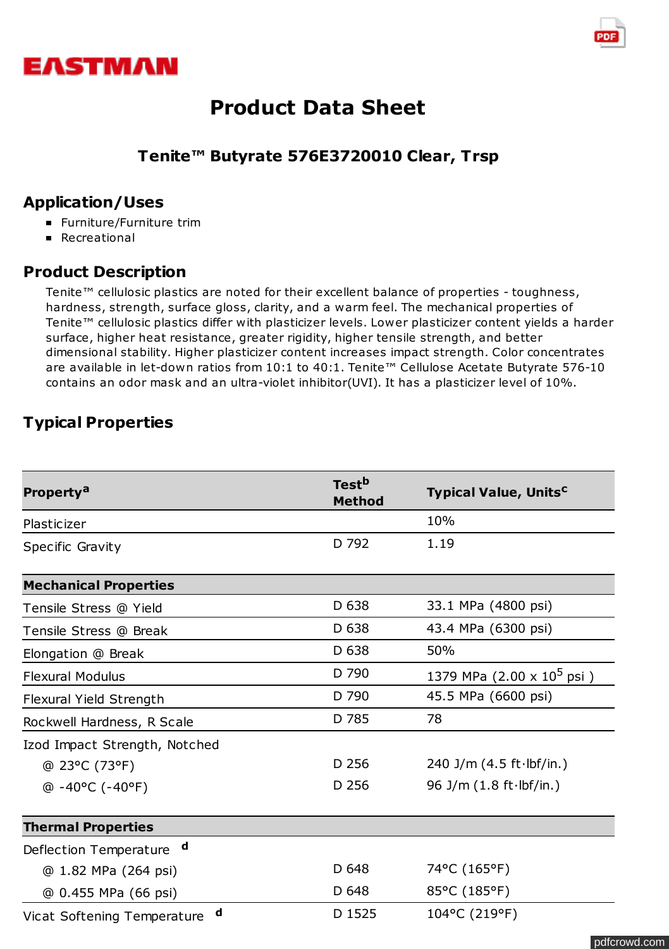



## **Tenite™ Butyrate 576E3720010 Clear, Trsp**

## **Application/Uses**

- **Furniture/Furniture trim**
- **Recreational**

## **Product Description**

Tenite™ cellulosic plastics are noted for their excellent balance of properties - toughness, hardness, strength, surface gloss, clarity, and a warm feel. The mechanical properties of Tenite™ cellulosic plastics differ with plasticizer levels. Lower plasticizer content yields a harder surface, higher heat resistance, greater rigidity, higher tensile strength, and better dimensional stability. Higher plasticizer content increases impact strength. Color concentrates are available in let-down ratios from 10:1 to 40:1. Tenite™ Cellulose Acetate Butyrate 576-10 contains an odor mask and an ultra-violet inhibitor(UVI). It has a plasticizer level of 10%.

## **Typical Properties**

| Property <sup>a</sup>                 | Test <sup>b</sup><br><b>Method</b> | <b>Typical Value, Units<sup>c</sup></b>    |
|---------------------------------------|------------------------------------|--------------------------------------------|
| Plasticizer                           |                                    | 10%                                        |
| Specific Gravity                      | D 792                              | 1.19                                       |
| <b>Mechanical Properties</b>          |                                    |                                            |
| Tensile Stress @ Yield                | D 638                              | 33.1 MPa (4800 psi)                        |
| Tensile Stress @ Break                | D 638                              | 43.4 MPa (6300 psi)                        |
| Elongation @ Break                    | D 638                              | 50%                                        |
| <b>Flexural Modulus</b>               | D 790                              | 1379 MPa $(2.00 \times 10^5 \,\text{psi})$ |
| Flexural Yield Strength               | D 790                              | 45.5 MPa (6600 psi)                        |
| Rockwell Hardness, R Scale            | D 785                              | 78                                         |
| Izod Impact Strength, Notched         |                                    |                                            |
| @ 23°C (73°F)                         | D 256                              | 240 J/m $(4.5 ft·lbf/in.)$                 |
| $@ -40°C (-40°F)$                     | D 256                              | 96 J/m $(1.8 ft·lbf/in.)$                  |
| <b>Thermal Properties</b>             |                                    |                                            |
| $\mathbf d$<br>Deflection Temperature |                                    |                                            |
| @ 1.82 MPa (264 psi)                  | D 648                              | 74°C (165°F)                               |
| @ 0.455 MPa (66 psi)                  | D 648                              | 85°C (185°F)                               |
| d<br>Vicat Softening Temperature      | D 1525                             | 104°C (219°F)                              |